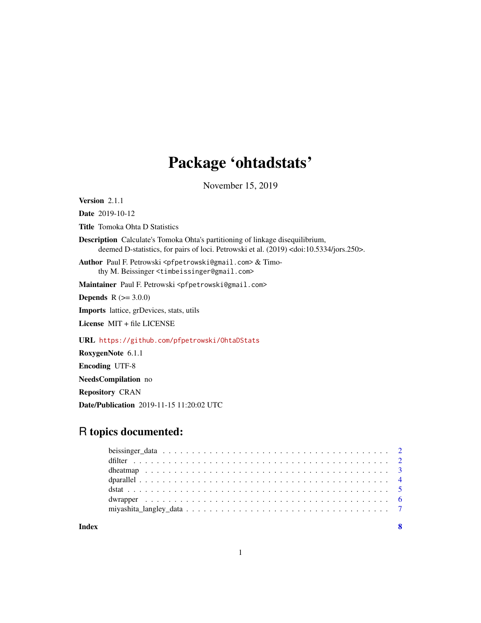## Package 'ohtadstats'

November 15, 2019

Version 2.1.1

Date 2019-10-12 Title Tomoka Ohta D Statistics

Description Calculate's Tomoka Ohta's partitioning of linkage disequilibrium, deemed D-statistics, for pairs of loci. Petrowski et al. (2019) <doi:10.5334/jors.250>.

Author Paul F. Petrowski <pfpetrowski@gmail.com> & Timothy M. Beissinger <timbeissinger@gmail.com>

Maintainer Paul F. Petrowski <pfpetrowski@gmail.com>

**Depends**  $R$  ( $>= 3.0.0$ )

Imports lattice, grDevices, stats, utils

License MIT + file LICENSE

URL <https://github.com/pfpetrowski/OhtaDStats>

RoxygenNote 6.1.1

Encoding UTF-8

NeedsCompilation no

Repository CRAN

Date/Publication 2019-11-15 11:20:02 UTC

### R topics documented:

**Index** [8](#page-7-0) **8**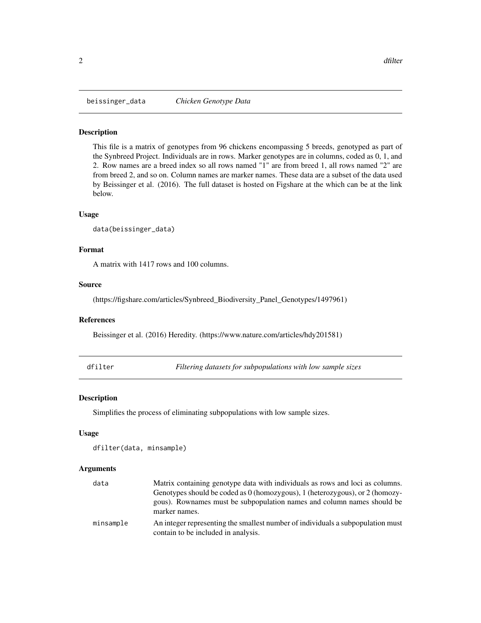<span id="page-1-0"></span>

#### Description

This file is a matrix of genotypes from 96 chickens encompassing 5 breeds, genotyped as part of the Synbreed Project. Individuals are in rows. Marker genotypes are in columns, coded as 0, 1, and 2. Row names are a breed index so all rows named "1" are from breed 1, all rows named "2" are from breed 2, and so on. Column names are marker names. These data are a subset of the data used by Beissinger et al. (2016). The full dataset is hosted on Figshare at the which can be at the link below.

#### Usage

```
data(beissinger_data)
```
#### Format

A matrix with 1417 rows and 100 columns.

#### Source

(https://figshare.com/articles/Synbreed\_Biodiversity\_Panel\_Genotypes/1497961)

#### References

Beissinger et al. (2016) Heredity. (https://www.nature.com/articles/hdy201581)

dfilter *Filtering datasets for subpopulations with low sample sizes*

#### Description

Simplifies the process of eliminating subpopulations with low sample sizes.

#### Usage

```
dfilter(data, minsample)
```
#### Arguments

| data      | Matrix containing genotype data with individuals as rows and loci as columns.                                          |
|-----------|------------------------------------------------------------------------------------------------------------------------|
|           | Genotypes should be coded as 0 (homozygous), 1 (heterozygous), or 2 (homozy-                                           |
|           | gous). Rownames must be subpopulation names and column names should be<br>marker names.                                |
| minsample | An integer representing the smallest number of individuals a subpopulation must<br>contain to be included in analysis. |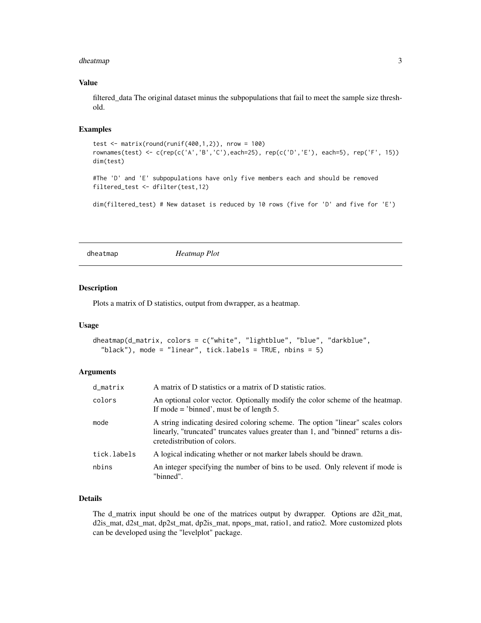#### <span id="page-2-0"></span>dheatmap 3

#### Value

filtered\_data The original dataset minus the subpopulations that fail to meet the sample size threshold.

#### Examples

```
test <- matrix(round(runif(400,1,2)), nrow = 100)
rownames(test) <- c(rep(c('A','B','C'),each=25), rep(c('D','E'), each=5), rep('F', 15))
dim(test)
#The 'D' and 'E' subpopulations have only five members each and should be removed
filtered_test <- dfilter(test,12)
dim(filtered_test) # New dataset is reduced by 10 rows (five for 'D' and five for 'E')
```
dheatmap *Heatmap Plot*

#### Description

Plots a matrix of D statistics, output from dwrapper, as a heatmap.

#### Usage

```
dheatmap(d_matrix, colors = c("white", "lightblue", "blue", "darkblue",
  "black"), mode = "linear", tick.labels = TRUE, nbins = 5)
```
#### Arguments

| d_matrix    | A matrix of D statistics or a matrix of D statistic ratios.                                                                                                                                          |
|-------------|------------------------------------------------------------------------------------------------------------------------------------------------------------------------------------------------------|
| colors      | An optional color vector. Optionally modify the color scheme of the heatmap.<br>If mode $=$ 'binned', must be of length 5.                                                                           |
| mode        | A string indicating desired coloring scheme. The option "linear" scales colors<br>linearly, "truncated" truncates values greater than 1, and "binned" returns a dis-<br>cretedistribution of colors. |
| tick.labels | A logical indicating whether or not marker labels should be drawn.                                                                                                                                   |
| nbins       | An integer specifying the number of bins to be used. Only relevent if mode is<br>"binned".                                                                                                           |

#### Details

The d\_matrix input should be one of the matrices output by dwrapper. Options are d2it\_mat, d2is\_mat, d2st\_mat, dp2st\_mat, dp2is\_mat, npops\_mat, ratio1, and ratio2. More customized plots can be developed using the "levelplot" package.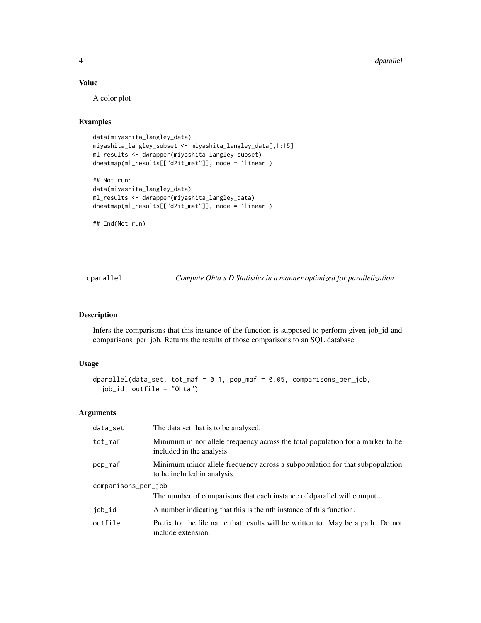#### <span id="page-3-0"></span>4 degree of the control of the control of the control of the control of the control of the control of the control of the control of the control of the control of the control of the control of the control of the control of

#### Value

A color plot

#### Examples

```
data(miyashita_langley_data)
miyashita_langley_subset <- miyashita_langley_data[,1:15]
ml_results <- dwrapper(miyashita_langley_subset)
dheatmap(ml_results[["d2it_mat"]], mode = 'linear')
```

```
## Not run:
data(miyashita_langley_data)
ml_results <- dwrapper(miyashita_langley_data)
dheatmap(ml_results[["d2it_mat"]], mode = 'linear')
```
## End(Not run)

dparallel *Compute Ohta's D Statistics in a manner optimized for parallelization*

#### Description

Infers the comparisons that this instance of the function is supposed to perform given job\_id and comparisons\_per\_job. Returns the results of those comparisons to an SQL database.

#### Usage

```
dparallel(data_set, tot_maf = 0.1, pop_maf = 0.05, comparisons_per_job,
  job_id, outfile = "Ohta")
```
#### Arguments

| data_set            | The data set that is to be analysed.                                                                        |
|---------------------|-------------------------------------------------------------------------------------------------------------|
| tot_maf             | Minimum minor allele frequency across the total population for a marker to be<br>included in the analysis.  |
| pop_maf             | Minimum minor allele frequency across a subpopulation for that subpopulation<br>to be included in analysis. |
| comparisons_per_job |                                                                                                             |
|                     | The number of comparisons that each instance of dparallel will compute.                                     |
| job_id              | A number indicating that this is the nth instance of this function.                                         |
| outfile             | Prefix for the file name that results will be written to. May be a path. Do not<br>include extension.       |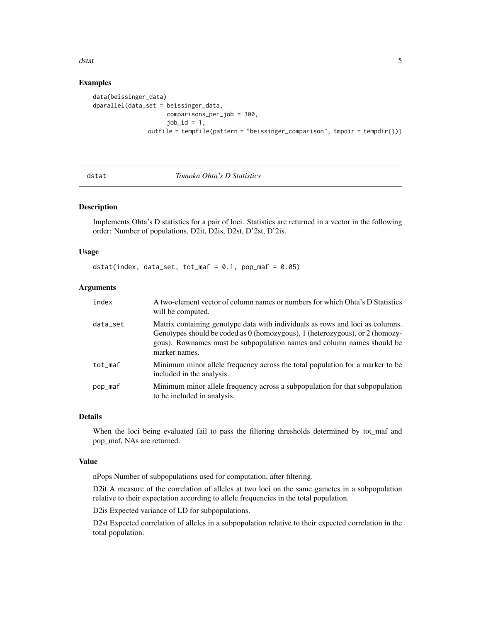#### <span id="page-4-0"></span>dstat 5 august 2007 in 1990 and 2007 in 1990 and 2007 in 1990 and 2007 in 1990 and 2007 in 1990 and 2007 in 1990 and 2007 in 1990 and 2007 in 1990 and 2007 in 1990 and 2007 in 1990 and 2007 in 1990 and 2007 in 1990 and 200

#### Examples

```
data(beissinger_data)
dparallel(data_set = beissinger_data,
                     comparisons_per_job = 300,
                     job_id = 1,
               outfile = tempfile(pattern = "beissinger_comparison", tmpdir = tempdir()))
```

| . .<br>×<br>. .<br>×<br>M.<br>٠<br>i |
|--------------------------------------|
|--------------------------------------|

#### Tomoka Ohta's D Statistics

#### Description

Implements Ohta's D statistics for a pair of loci. Statistics are returned in a vector in the following order: Number of populations, D2it, D2is, D2st, D'2st, D'2is.

#### Usage

```
dstat(index, data_set, tot_maf = 0.1, pop_maf = 0.05)
```
#### Arguments

| index    | A two-element vector of column names or numbers for which Ohta's D Statistics<br>will be computed.                                                                                                                                                       |
|----------|----------------------------------------------------------------------------------------------------------------------------------------------------------------------------------------------------------------------------------------------------------|
| data_set | Matrix containing genotype data with individuals as rows and loci as columns.<br>Genotypes should be coded as 0 (homozygous), 1 (heterozygous), or 2 (homozy-<br>gous). Rownames must be subpopulation names and column names should be<br>marker names. |
| tot maf  | Minimum minor allele frequency across the total population for a marker to be<br>included in the analysis.                                                                                                                                               |
| pop_maf  | Minimum minor allele frequency across a subpopulation for that subpopulation<br>to be included in analysis.                                                                                                                                              |

#### Details

When the loci being evaluated fail to pass the filtering thresholds determined by tot\_maf and pop\_maf, NAs are returned.

#### Value

nPops Number of subpopulations used for computation, after filtering.

D2it A measure of the correlation of alleles at two loci on the same gametes in a subpopulation relative to their expectation according to allele frequencies in the total population.

D2is Expected variance of LD for subpopulations.

D2st Expected correlation of alleles in a subpopulation relative to their expected correlation in the total population.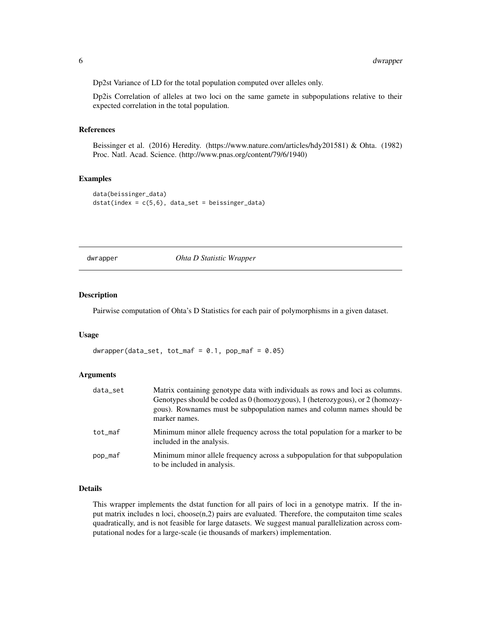<span id="page-5-0"></span>Dp2st Variance of LD for the total population computed over alleles only.

Dp2is Correlation of alleles at two loci on the same gamete in subpopulations relative to their expected correlation in the total population.

#### References

Beissinger et al. (2016) Heredity. (https://www.nature.com/articles/hdy201581) & Ohta. (1982) Proc. Natl. Acad. Science. (http://www.pnas.org/content/79/6/1940)

#### Examples

```
data(beissinger_data)
dstat(index = c(5, 6), data_set = beissinger_data)
```
dwrapper *Ohta D Statistic Wrapper*

#### Description

Pairwise computation of Ohta's D Statistics for each pair of polymorphisms in a given dataset.

#### Usage

 $dwrapper(data_set, tot_maf = 0.1, pop_maf = 0.05)$ 

#### Arguments

| data_set | Matrix containing genotype data with individuals as rows and loci as columns.<br>Genotypes should be coded as 0 (homozygous), 1 (heterozygous), or 2 (homozy-<br>gous). Rownames must be subpopulation names and column names should be<br>marker names. |
|----------|----------------------------------------------------------------------------------------------------------------------------------------------------------------------------------------------------------------------------------------------------------|
| tot maf  | Minimum minor allele frequency across the total population for a marker to be<br>included in the analysis.                                                                                                                                               |
| pop_maf  | Minimum minor allele frequency across a subpopulation for that subpopulation<br>to be included in analysis.                                                                                                                                              |

#### Details

This wrapper implements the dstat function for all pairs of loci in a genotype matrix. If the input matrix includes n loci, choose(n,2) pairs are evaluated. Therefore, the computaiton time scales quadratically, and is not feasible for large datasets. We suggest manual parallelization across computational nodes for a large-scale (ie thousands of markers) implementation.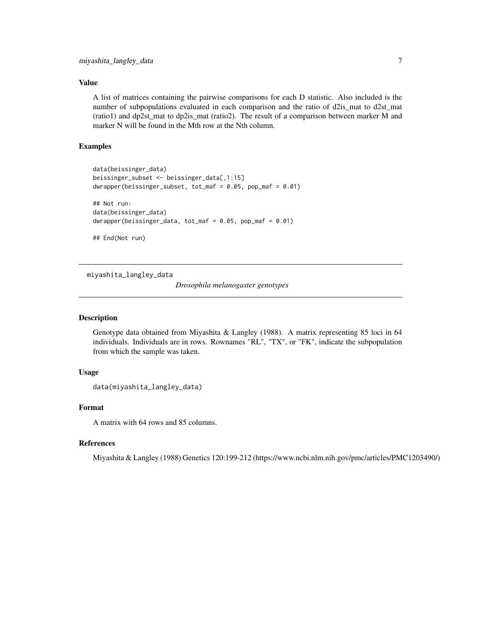#### <span id="page-6-0"></span>Value

A list of matrices containing the pairwise comparisons for each D statistic. Also included is the number of subpopulations evaluated in each comparison and the ratio of d2is\_mat to d2st\_mat (ratio1) and dp2st\_mat to dp2is\_mat (ratio2). The result of a comparison between marker M and marker N will be found in the Mth row at the Nth column.

#### Examples

```
data(beissinger_data)
beissinger_subset <- beissinger_data[,1:15]
dwrapper(beissinger_subset, tot_maf = 0.05, pop_maf = 0.01)
## Not run:
data(beissinger_data)
dwrapper(beissinger_data, tot_maf = 0.05, pop_maf = 0.01)
## End(Not run)
```
miyashita\_langley\_data

*Drosophila melanogaster genotypes*

#### Description

Genotype data obtained from Miyashita & Langley (1988). A matrix representing 85 loci in 64 individuals. Individuals are in rows. Rownames "RL", "TX", or "FK", indicate the subpopulation from which the sample was taken.

#### Usage

```
data(miyashita_langley_data)
```
#### Format

A matrix with 64 rows and 85 columns.

#### References

Miyashita & Langley (1988) Genetics 120:199-212 (https://www.ncbi.nlm.nih.gov/pmc/articles/PMC1203490/)